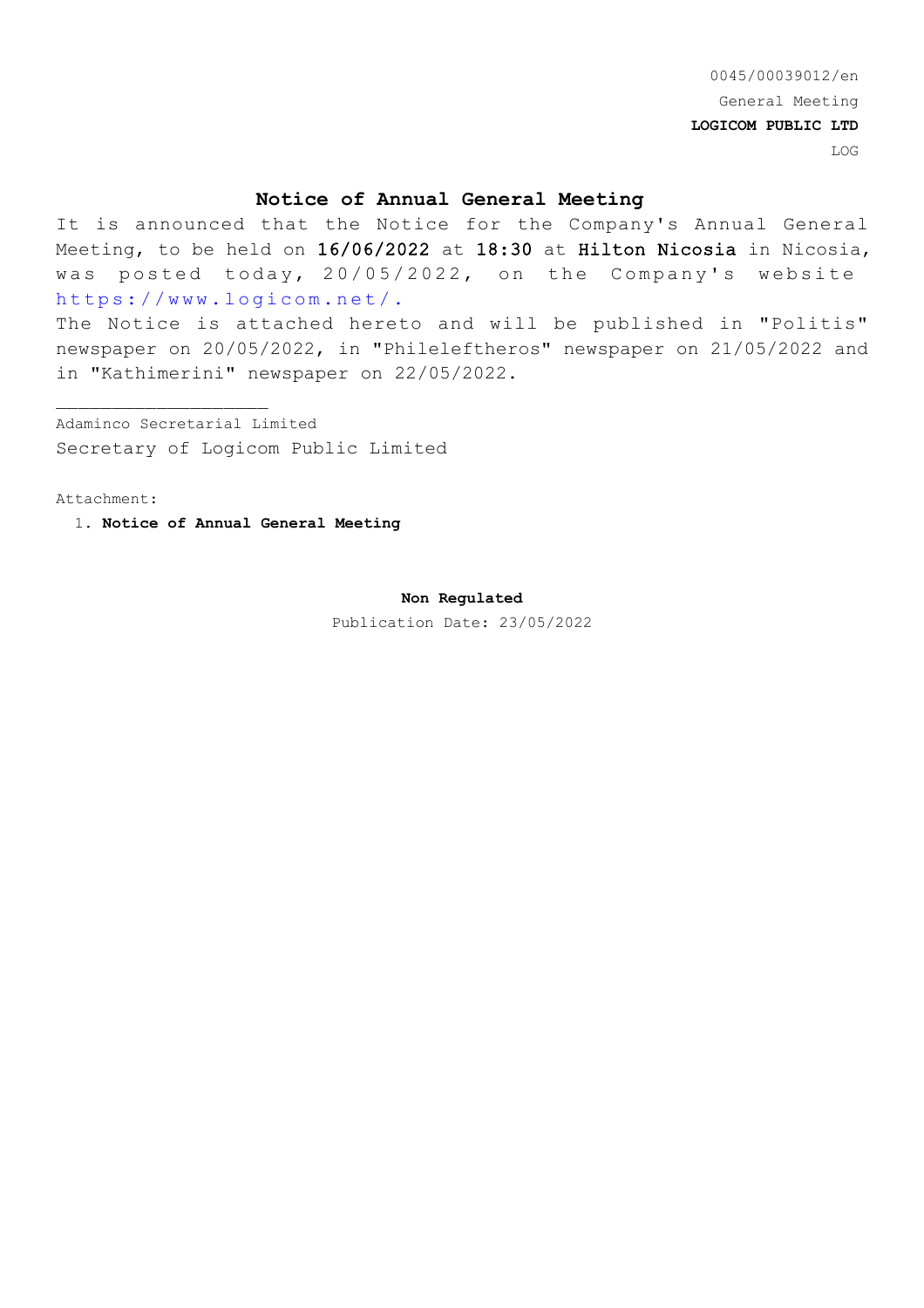0045/00039012/en General Meeting **LOGICOM PUBLIC LTD** LOG

### **Notice of Annual General Meeting**

It is announced that the Notice for the Company's Annual General Meeting, to be held on 16/06/2022 at 18:30 at Hilton Nicosia in Nicosia, was posted today, 20/05/2022, on the Company's website https://www.logicom.net/.

The Notice is attached hereto and will be published in "Politis" newspaper on 20/05/2022, in "Phileleftheros" newspaper on 21/05/2022 and in "Kathimerini" newspaper on 22/05/2022.

Adaminco Secretarial Limited Secretary of Logicom Public Limited

Attachment:

 $\mathcal{L}_\text{max}$ 

1. **Notice of Annual General Meeting**

#### **Non Regulated**

Publication Date: 23/05/2022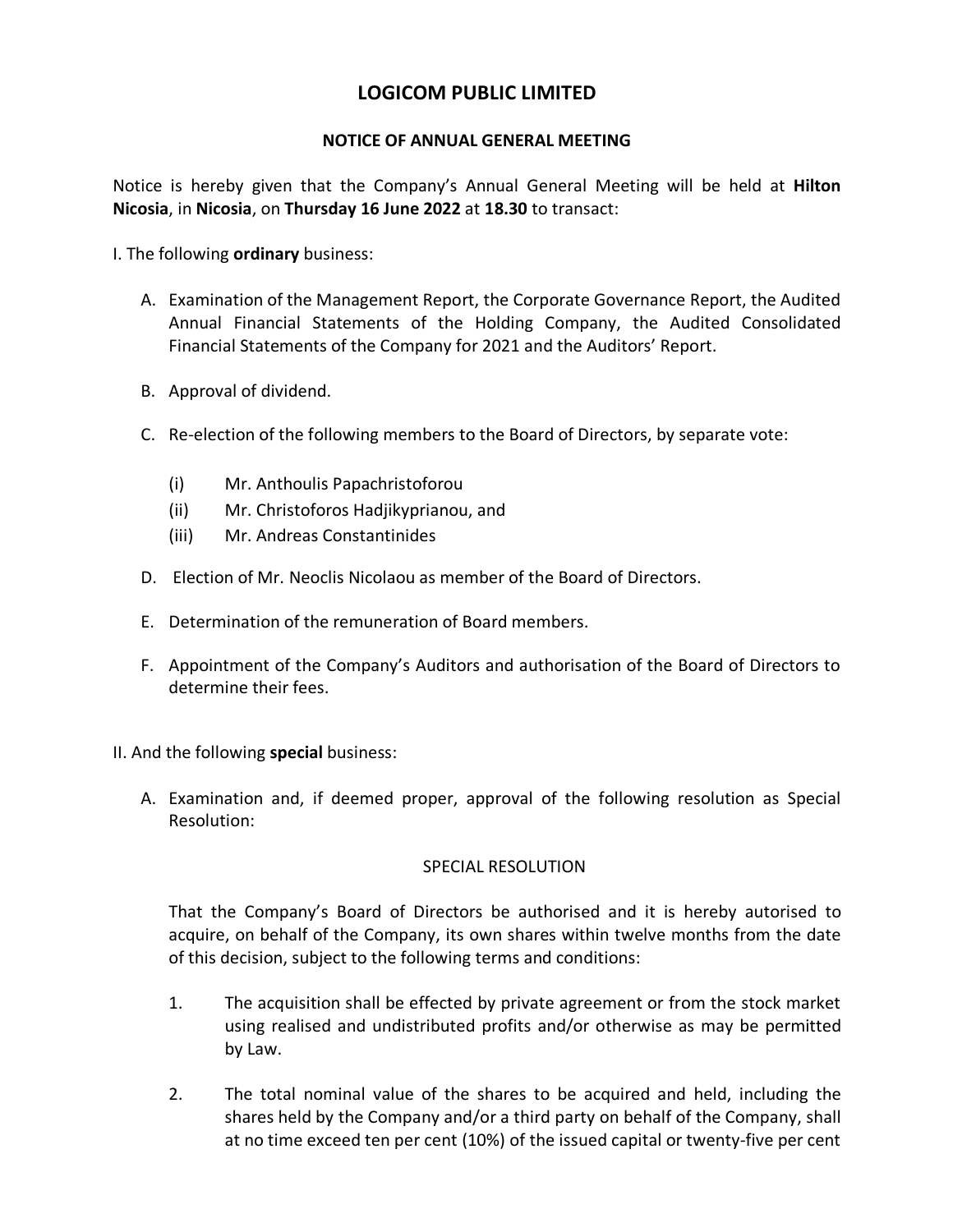# **LOGICOM PUBLIC LIMITED**

## **NOTICE OF ANNUAL GENERAL MEETING**

Notice is hereby given that the Company's Annual General Meeting will be held at **Hilton Nicosia**, in **Nicosia**, on **Thursday 16 June 2022** at **18.30** to transact:

- I. The following **ordinary** business:
	- A. Examination of the Management Report, the Corporate Governance Report, the Audited Annual Financial Statements of the Holding Company, the Audited Consolidated Financial Statements of the Company for 2021 and the Auditors' Report.
	- B. Approval of dividend.
	- C. Re-election of the following members to the Board of Directors, by separate vote:
		- (i) Mr. Anthoulis Papachristoforou
		- (ii) Mr. Christoforos Hadjikyprianou, and
		- (iii) Mr. Andreas Constantinides
	- D. Election of Mr. Neoclis Nicolaou as member of the Board of Directors.
	- E. Determination of the remuneration of Board members.
	- F. Appointment of the Company's Auditors and authorisation of the Board of Directors to determine their fees.
- II. And the following **special** business:
	- A. Examination and, if deemed proper, approval of the following resolution as Special Resolution:

## SPECIAL RESOLUTION

That the Company's Board of Directors be authorised and it is hereby autorised to acquire, on behalf of the Company, its own shares within twelve months from the date of this decision, subject to the following terms and conditions:

- 1. The acquisition shall be effected by private agreement or from the stock market using realised and undistributed profits and/or otherwise as may be permitted by Law.
- 2. The total nominal value of the shares to be acquired and held, including the shares held by the Company and/or a third party on behalf of the Company, shall at no time exceed ten per cent (10%) of the issued capital or twenty-five per cent